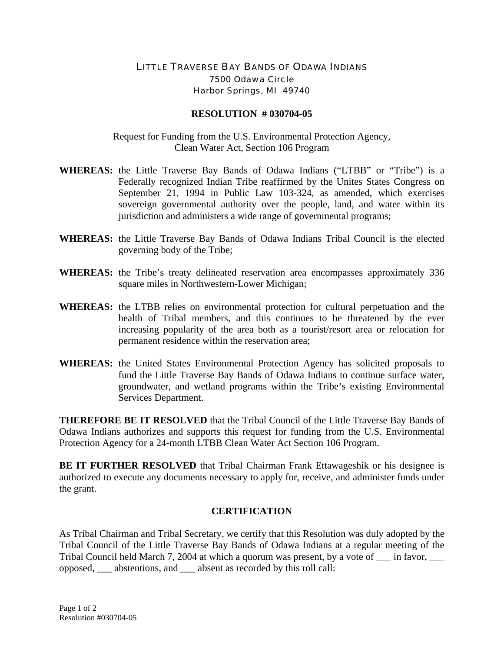## LITTLE TRAVERSE BAY BANDS OF ODAWA INDIANS 7500 Odawa Circle Harbor Springs, MI 49740

## **RESOLUTION # 030704-05**

Request for Funding from the U.S. Environmental Protection Agency, Clean Water Act, Section 106 Program

- **WHEREAS:** the Little Traverse Bay Bands of Odawa Indians ("LTBB" or "Tribe") is a Federally recognized Indian Tribe reaffirmed by the Unites States Congress on September 21, 1994 in Public Law 103-324, as amended, which exercises sovereign governmental authority over the people, land, and water within its jurisdiction and administers a wide range of governmental programs;
- **WHEREAS:** the Little Traverse Bay Bands of Odawa Indians Tribal Council is the elected governing body of the Tribe;
- **WHEREAS:** the Tribe's treaty delineated reservation area encompasses approximately 336 square miles in Northwestern-Lower Michigan;
- **WHEREAS:** the LTBB relies on environmental protection for cultural perpetuation and the health of Tribal members, and this continues to be threatened by the ever increasing popularity of the area both as a tourist/resort area or relocation for permanent residence within the reservation area;
- **WHEREAS:** the United States Environmental Protection Agency has solicited proposals to fund the Little Traverse Bay Bands of Odawa Indians to continue surface water, groundwater, and wetland programs within the Tribe's existing Environmental Services Department.

**THEREFORE BE IT RESOLVED** that the Tribal Council of the Little Traverse Bay Bands of Odawa Indians authorizes and supports this request for funding from the U.S. Environmental Protection Agency for a 24-month LTBB Clean Water Act Section 106 Program.

**BE IT FURTHER RESOLVED** that Tribal Chairman Frank Ettawageshik or his designee is authorized to execute any documents necessary to apply for, receive, and administer funds under the grant.

## **CERTIFICATION**

As Tribal Chairman and Tribal Secretary, we certify that this Resolution was duly adopted by the Tribal Council of the Little Traverse Bay Bands of Odawa Indians at a regular meeting of the Tribal Council held March 7, 2004 at which a quorum was present, by a vote of  $\_\_$ in favor, opposed, \_\_\_ abstentions, and \_\_\_ absent as recorded by this roll call: